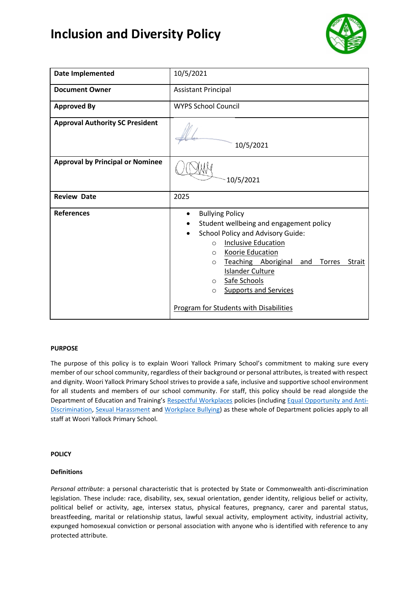# **Inclusion and Diversity Policy**



| Date Implemented                        | 10/5/2021                                                                                                                                                                                                                                                                                                                                                                                                                              |
|-----------------------------------------|----------------------------------------------------------------------------------------------------------------------------------------------------------------------------------------------------------------------------------------------------------------------------------------------------------------------------------------------------------------------------------------------------------------------------------------|
| <b>Document Owner</b>                   | <b>Assistant Principal</b>                                                                                                                                                                                                                                                                                                                                                                                                             |
| <b>Approved By</b>                      | <b>WYPS School Council</b>                                                                                                                                                                                                                                                                                                                                                                                                             |
| <b>Approval Authority SC President</b>  | 10/5/2021                                                                                                                                                                                                                                                                                                                                                                                                                              |
| <b>Approval by Principal or Nominee</b> | 10/5/2021                                                                                                                                                                                                                                                                                                                                                                                                                              |
| <b>Review Date</b>                      | 2025                                                                                                                                                                                                                                                                                                                                                                                                                                   |
| <b>References</b>                       | <b>Bullying Policy</b><br>$\bullet$<br>Student wellbeing and engagement policy<br><b>School Policy and Advisory Guide:</b><br><b>Inclusive Education</b><br>$\circ$<br><b>Koorie Education</b><br>$\circ$<br>Teaching Aboriginal<br><b>Torres</b><br><b>Strait</b><br>and<br>$\circ$<br><b>Islander Culture</b><br>Safe Schools<br>$\circ$<br><b>Supports and Services</b><br>$\circ$<br><b>Program for Students with Disabilities</b> |

## **PURPOSE**

The purpose of this policy is to explain Woori Yallock Primary School's commitment to making sure every member of our school community, regardless of their background or personal attributes, is treated with respect and dignity. Woori Yallock Primary School strives to provide a safe, inclusive and supportive school environment for all students and members of our school community. For staff, this policy should be read alongside the Department of Education and Training's [Respectful Workplaces](https://www2.education.vic.gov.au/pal/respectful-workplaces/overview) policies (including [Equal Opportunity and Anti-](https://www2.education.vic.gov.au/pal/equal-opportunity/overview)[Discrimination,](https://www2.education.vic.gov.au/pal/equal-opportunity/overview) [Sexual Harassment](https://www2.education.vic.gov.au/pal/sexual-harassment/overview) and [Workplace Bullying\)](https://www2.education.vic.gov.au/pal/workplace-bullying/policy) as these whole of Department policies apply to all staff at Woori Yallock Primary School.

## **POLICY**

## **Definitions**

*Personal attribute*: a personal characteristic that is protected by State or Commonwealth anti-discrimination legislation. These include: race, disability, sex, sexual orientation, gender identity, religious belief or activity, political belief or activity, age, intersex status, physical features, pregnancy, carer and parental status, breastfeeding, marital or relationship status, lawful sexual activity, employment activity, industrial activity, expunged homosexual conviction or personal association with anyone who is identified with reference to any protected attribute.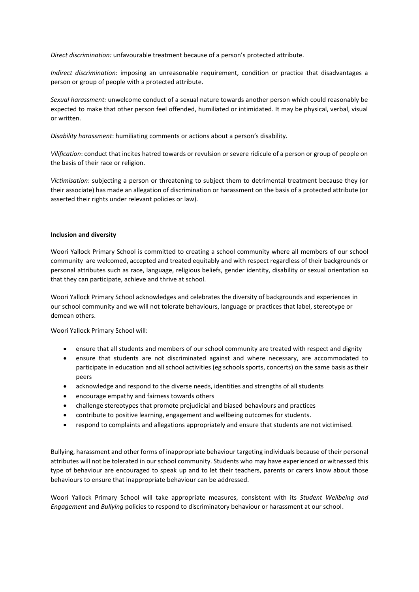*Direct discrimination:* unfavourable treatment because of a person's protected attribute.

*Indirect discrimination*: imposing an unreasonable requirement, condition or practice that disadvantages a person or group of people with a protected attribute.

*Sexual harassment:* unwelcome conduct of a sexual nature towards another person which could reasonably be expected to make that other person feel offended, humiliated or intimidated. It may be physical, verbal, visual or written.

*Disability harassment*: humiliating comments or actions about a person's disability.

*Vilification*: conduct that incites hatred towards or revulsion or severe ridicule of a person or group of people on the basis of their race or religion.

*Victimisation*: subjecting a person or threatening to subject them to detrimental treatment because they (or their associate) has made an allegation of discrimination or harassment on the basis of a protected attribute (or asserted their rights under relevant policies or law).

#### **Inclusion and diversity**

Woori Yallock Primary School is committed to creating a school community where all members of our school community are welcomed, accepted and treated equitably and with respect regardless of their backgrounds or personal attributes such as race, language, religious beliefs, gender identity, disability or sexual orientation so that they can participate, achieve and thrive at school.

Woori Yallock Primary School acknowledges and celebrates the diversity of backgrounds and experiences in our school community and we will not tolerate behaviours, language or practices that label, stereotype or demean others.

Woori Yallock Primary School will:

- ensure that all students and members of our school community are treated with respect and dignity
- ensure that students are not discriminated against and where necessary, are accommodated to participate in education and all school activities (eg schools sports, concerts) on the same basis as their peers
- acknowledge and respond to the diverse needs, identities and strengths of all students
- encourage empathy and fairness towards others
- challenge stereotypes that promote prejudicial and biased behaviours and practices
- contribute to positive learning, engagement and wellbeing outcomes for students.
- respond to complaints and allegations appropriately and ensure that students are not victimised.

Bullying, harassment and other forms of inappropriate behaviour targeting individuals because of their personal attributes will not be tolerated in our school community. Students who may have experienced or witnessed this type of behaviour are encouraged to speak up and to let their teachers, parents or carers know about those behaviours to ensure that inappropriate behaviour can be addressed.

Woori Yallock Primary School will take appropriate measures, consistent with its *Student Wellbeing and Engagement* and *Bullying* policies to respond to discriminatory behaviour or harassment at our school.